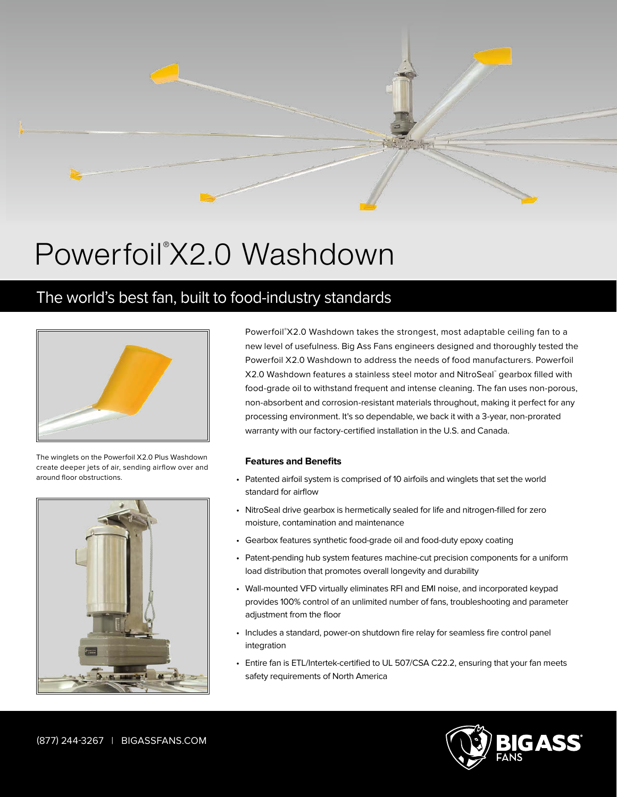

## Powerfoil<sup>®</sup>X2.0 Washdown

## The world's best fan, built to food-industry standards



The winglets on the Powerfoil X2.0 Plus Washdown create deeper jets of air, sending airflow over and around floor obstructions.



Powerfoil® X2.0 Washdown takes the strongest, most adaptable ceiling fan to a new level of usefulness. Big Ass Fans engineers designed and thoroughly tested the Powerfoil X2.0 Washdown to address the needs of food manufacturers. Powerfoil X2.0 Washdown features a stainless steel motor and NitroSeal™ gearbox filled with food-grade oil to withstand frequent and intense cleaning. The fan uses non-porous, non-absorbent and corrosion-resistant materials throughout, making it perfect for any processing environment. It's so dependable, we back it with a 3-year, non-prorated warranty with our factory-certified installation in the U.S. and Canada.

## **Features and Benefits**

- Patented airfoil system is comprised of 10 airfoils and winglets that set the world standard for airflow
- NitroSeal drive gearbox is hermetically sealed for life and nitrogen-filled for zero moisture, contamination and maintenance
- Gearbox features synthetic food-grade oil and food-duty epoxy coating
- Patent-pending hub system features machine-cut precision components for a uniform load distribution that promotes overall longevity and durability
- Wall-mounted VFD virtually eliminates RFI and EMI noise, and incorporated keypad provides 100% control of an unlimited number of fans, troubleshooting and parameter adjustment from the floor
- Includes a standard, power-on shutdown fire relay for seamless fire control panel integration
- Entire fan is ETL/Intertek-certified to UL 507/CSA C22.2, ensuring that your fan meets safety requirements of North America



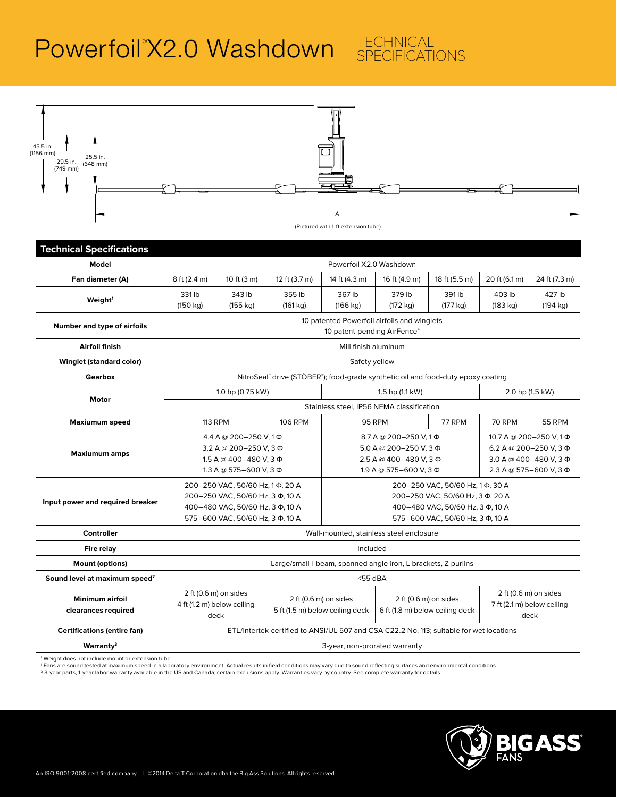

| <b>Technical Specifications</b>               |                                                                                                                                             |                    |                    |                                                                                                                                             |                                                                                                                 |                    |                                                                                                                |                    |  |  |  |
|-----------------------------------------------|---------------------------------------------------------------------------------------------------------------------------------------------|--------------------|--------------------|---------------------------------------------------------------------------------------------------------------------------------------------|-----------------------------------------------------------------------------------------------------------------|--------------------|----------------------------------------------------------------------------------------------------------------|--------------------|--|--|--|
| Model                                         | Powerfoil X2.0 Washdown                                                                                                                     |                    |                    |                                                                                                                                             |                                                                                                                 |                    |                                                                                                                |                    |  |  |  |
| Fan diameter (A)                              | 8 ft (2.4 m)                                                                                                                                | 10 ft (3 m)        | 12 ft (3.7 m)      | 14 ft (4.3 m)                                                                                                                               | 16 ft (4.9 m)                                                                                                   | 18 ft (5.5 m)      | 20 ft (6.1 m)                                                                                                  | 24 ft (7.3 m)      |  |  |  |
| Weight <sup>1</sup>                           | 331 lb<br>(150 kg)                                                                                                                          | 343 lb<br>(155 kg) | 355 lb<br>(161 kg) | 367 lb<br>(166 kg)                                                                                                                          | 379 lb<br>(172 kg)                                                                                              | 391 lb<br>(177 kg) | 403 lb<br>(183 kg)                                                                                             | 427 lb<br>(194 kg) |  |  |  |
| Number and type of airfoils                   | 10 patented Powerfoil airfoils and winglets<br>10 patent-pending AirFence®                                                                  |                    |                    |                                                                                                                                             |                                                                                                                 |                    |                                                                                                                |                    |  |  |  |
| Airfoil finish                                | Mill finish aluminum                                                                                                                        |                    |                    |                                                                                                                                             |                                                                                                                 |                    |                                                                                                                |                    |  |  |  |
| <b>Winglet (standard color)</b>               | Safety yellow                                                                                                                               |                    |                    |                                                                                                                                             |                                                                                                                 |                    |                                                                                                                |                    |  |  |  |
| <b>Gearbox</b>                                | NitroSeal" drive (STÖBER"); food-grade synthetic oil and food-duty epoxy coating                                                            |                    |                    |                                                                                                                                             |                                                                                                                 |                    |                                                                                                                |                    |  |  |  |
| Motor                                         |                                                                                                                                             | 1.0 hp (0.75 kW)   |                    | 1.5 hp (1.1 kW)                                                                                                                             |                                                                                                                 |                    | 2.0 hp (1.5 kW)                                                                                                |                    |  |  |  |
|                                               | Stainless steel, IP56 NEMA classification                                                                                                   |                    |                    |                                                                                                                                             |                                                                                                                 |                    |                                                                                                                |                    |  |  |  |
| <b>Maxiumum speed</b>                         | <b>113 RPM</b>                                                                                                                              |                    | <b>106 RPM</b>     |                                                                                                                                             | <b>95 RPM</b>                                                                                                   | 77 RPM             | <b>70 RPM</b>                                                                                                  | <b>55 RPM</b>      |  |  |  |
| <b>Maxiumum amps</b>                          | 4.4 A @ 200-250 V, 1 Φ<br>3.2 A @ 200-250 V, 3 Ф<br>1.5 A @ 400-480 V, 3 Ф<br>1.3 A @ 575-600 V, 3 Φ                                        |                    |                    |                                                                                                                                             | 8.7 A @ 200-250 V.1 $\Phi$<br>$5.0 A @ 200 - 250 V. 3 \Phi$<br>2.5 A @ 400-480 V, 3 Φ<br>1.9 A @ 575-600 V, 3 Φ |                    | 10.7 A @ 200-250 V, 1Φ<br>6.2 A @ 200-250 V, 3 $\Phi$<br>3.0 A @ 400-480 V, 3 $\Phi$<br>2.3 A @ 575-600 V, 3 Ф |                    |  |  |  |
| Input power and required breaker              | 200-250 VAC, 50/60 Hz, 1Φ, 20 A<br>200-250 VAC, 50/60 Hz, 3 Ф, 10 A<br>400-480 VAC, 50/60 Hz, 3 Ф, 10 A<br>575-600 VAC, 50/60 Hz, 3 Ф, 10 A |                    |                    | 200-250 VAC, 50/60 Hz, 1Φ, 30 A<br>200-250 VAC, 50/60 Hz, 3 Ф, 20 A<br>400-480 VAC, 50/60 Hz, 3 Ф, 10 A<br>575-600 VAC, 50/60 Hz, 3 Ф, 10 A |                                                                                                                 |                    |                                                                                                                |                    |  |  |  |
| <b>Controller</b>                             | Wall-mounted, stainless steel enclosure                                                                                                     |                    |                    |                                                                                                                                             |                                                                                                                 |                    |                                                                                                                |                    |  |  |  |
| Fire relay                                    | Included                                                                                                                                    |                    |                    |                                                                                                                                             |                                                                                                                 |                    |                                                                                                                |                    |  |  |  |
| <b>Mount (options)</b>                        | Large/small I-beam, spanned angle iron, L-brackets, Z-purlins                                                                               |                    |                    |                                                                                                                                             |                                                                                                                 |                    |                                                                                                                |                    |  |  |  |
| Sound level at maximum speed <sup>2</sup>     | $<$ 55 dBA                                                                                                                                  |                    |                    |                                                                                                                                             |                                                                                                                 |                    |                                                                                                                |                    |  |  |  |
| <b>Minimum airfoil</b><br>clearances required | 2 ft (0.6 m) on sides<br>4 ft (1.2 m) below ceiling<br>deck                                                                                 |                    |                    | 2 ft (0.6 m) on sides<br>5 ft (1.5 m) below ceiling deck                                                                                    | 2 ft (0.6 m) on sides<br>6 ft (1.8 m) below ceiling deck                                                        |                    | 2 ft (0.6 m) on sides<br>7 ft (2.1 m) below ceiling<br>deck                                                    |                    |  |  |  |
| <b>Certifications (entire fan)</b>            | ETL/Intertek-certified to ANSI/UL 507 and CSA C22.2 No. 113; suitable for wet locations                                                     |                    |                    |                                                                                                                                             |                                                                                                                 |                    |                                                                                                                |                    |  |  |  |
| Warranty <sup>3</sup>                         | 3-year, non-prorated warranty                                                                                                               |                    |                    |                                                                                                                                             |                                                                                                                 |                    |                                                                                                                |                    |  |  |  |
|                                               |                                                                                                                                             |                    |                    |                                                                                                                                             |                                                                                                                 |                    |                                                                                                                |                    |  |  |  |

1 Weight does not include mount or extension tube.

' Fans are sound tested at maximum speed in a laboratory environment. Actual results in field conditions may vary due to sound reflecting surfaces and environmental conditions.<br><sup>2</sup> 3-year parts, 1-year labor warranty avail